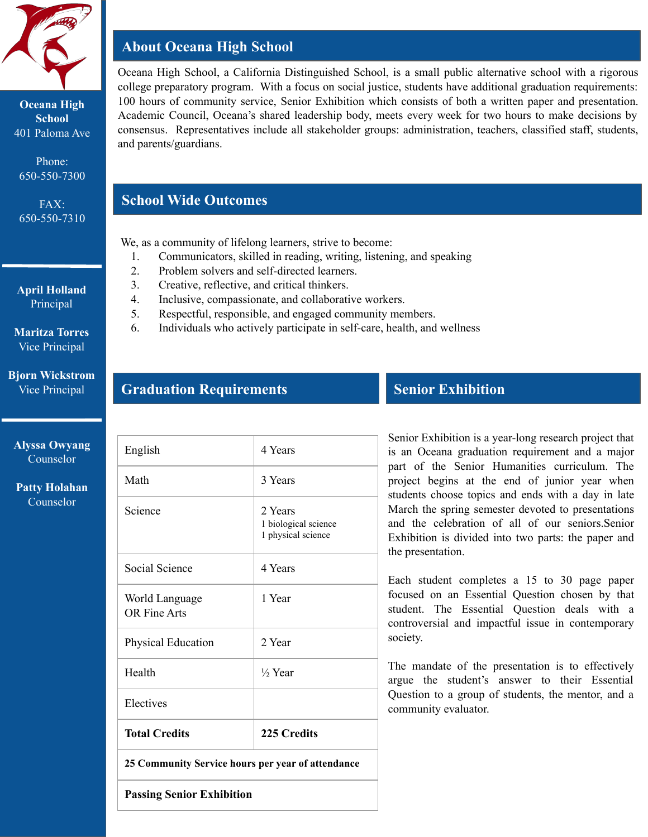

**Oceana High School** 401 Paloma Ave

Phone: 650-550-7300

FAX: 650-550-7310

#### **April Holland** Principal

**Maritza Torres** Vice Principal

**Bjorn Wickstrom** Vice Principal

**Alyssa Owyang** Counselor

**Patty Holahan** Counselor

# **About Oceana High School**

Oceana High School, a California Distinguished School, is a small public alternative school with a rigorous college preparatory program. With a focus on social justice, students have additional graduation requirements: 100 hours of community service, Senior Exhibition which consists of both a written paper and presentation. Academic Council, Oceana's shared leadership body, meets every week for two hours to make decisions by consensus. Representatives include all stakeholder groups: administration, teachers, classified staff, students, and parents/guardians.

## **School Wide Outcomes**

We, as a community of lifelong learners, strive to become:

- 1. Communicators, skilled in reading, writing, listening, and speaking
- 2. Problem solvers and self-directed learners.
- 3. Creative, reflective, and critical thinkers.
- 4. Inclusive, compassionate, and collaborative workers.
- 5. Respectful, responsible, and engaged community members.
- 6. Individuals who actively participate in self-care, health, and wellness

#### **Graduation Requirements**

| 25 Community Service hours per year of attendance |                                                       |
|---------------------------------------------------|-------------------------------------------------------|
| <b>Total Credits</b>                              | 225 Credits                                           |
| Electives                                         |                                                       |
| Health                                            | 1/ <sub>2</sub> Year                                  |
| <b>Physical Education</b>                         | 2 Year                                                |
| World Language<br><b>OR Fine Arts</b>             | 1 Year                                                |
| Social Science                                    | 4 Years                                               |
| Science                                           | 2 Years<br>1 biological science<br>1 physical science |
| Math                                              | 3 Years                                               |
| English                                           | 4 Years                                               |

## **Senior Exhibition**

Senior Exhibition is a year-long research project that is an Oceana graduation requirement and a major part of the Senior Humanities curriculum. The project begins at the end of junior year when students choose topics and ends with a day in late March the spring semester devoted to presentations and the celebration of all of our seniors.Senior Exhibition is divided into two parts: the paper and the presentation.

Each student completes a 15 to 30 page paper focused on an Essential Question chosen by that student. The Essential Question deals with a controversial and impactful issue in contemporary society.

The mandate of the presentation is to effectively argue the student's answer to their Essential Question to a group of students, the mentor, and a community evaluator.